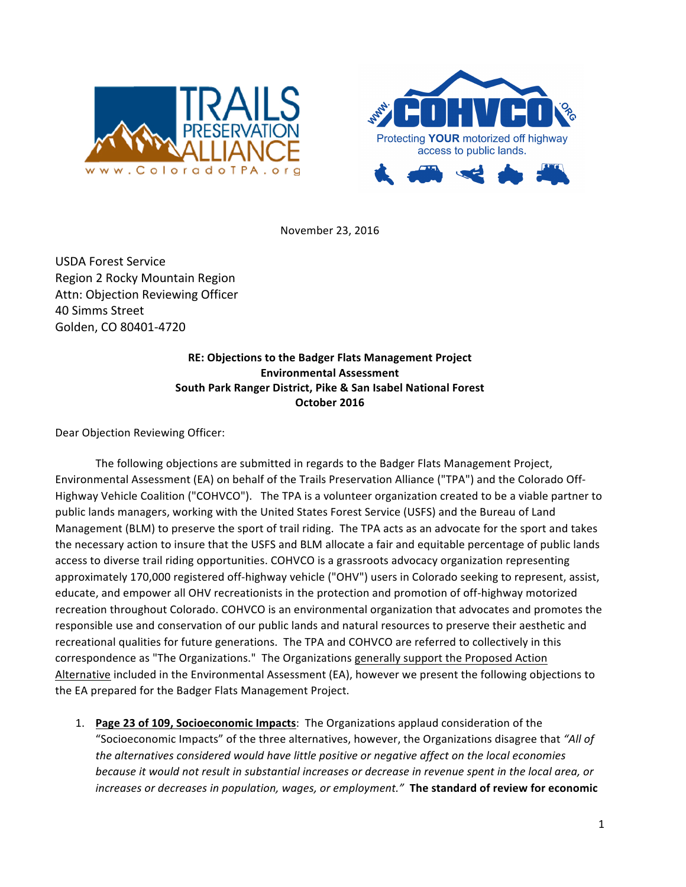



November 23, 2016

USDA Forest Service Region 2 Rocky Mountain Region Attn: Objection Reviewing Officer 40 Simms Street Golden, CO 80401-4720

> **RE: Objections to the Badger Flats Management Project Environmental Assessment South Park Ranger District, Pike & San Isabel National Forest October 2016**

Dear Objection Reviewing Officer:

The following objections are submitted in regards to the Badger Flats Management Project, Environmental Assessment (EA) on behalf of the Trails Preservation Alliance ("TPA") and the Colorado Off-Highway Vehicle Coalition ("COHVCO"). The TPA is a volunteer organization created to be a viable partner to public lands managers, working with the United States Forest Service (USFS) and the Bureau of Land Management (BLM) to preserve the sport of trail riding. The TPA acts as an advocate for the sport and takes the necessary action to insure that the USFS and BLM allocate a fair and equitable percentage of public lands access to diverse trail riding opportunities. COHVCO is a grassroots advocacy organization representing approximately 170,000 registered off-highway vehicle ("OHV") users in Colorado seeking to represent, assist, educate, and empower all OHV recreationists in the protection and promotion of off-highway motorized recreation throughout Colorado. COHVCO is an environmental organization that advocates and promotes the responsible use and conservation of our public lands and natural resources to preserve their aesthetic and recreational qualities for future generations. The TPA and COHVCO are referred to collectively in this correspondence as "The Organizations." The Organizations generally support the Proposed Action Alternative included in the Environmental Assessment (EA), however we present the following objections to the EA prepared for the Badger Flats Management Project.

1. **Page 23 of 109, Socioeconomic Impacts**: The Organizations applaud consideration of the "Socioeconomic Impacts" of the three alternatives, however, the Organizations disagree that "All of the alternatives considered would have little positive or negative affect on the local economies *because it would not result in substantial increases or decrease in revenue spent in the local area, or increases or decreases in population, wages, or employment."* The standard of review for economic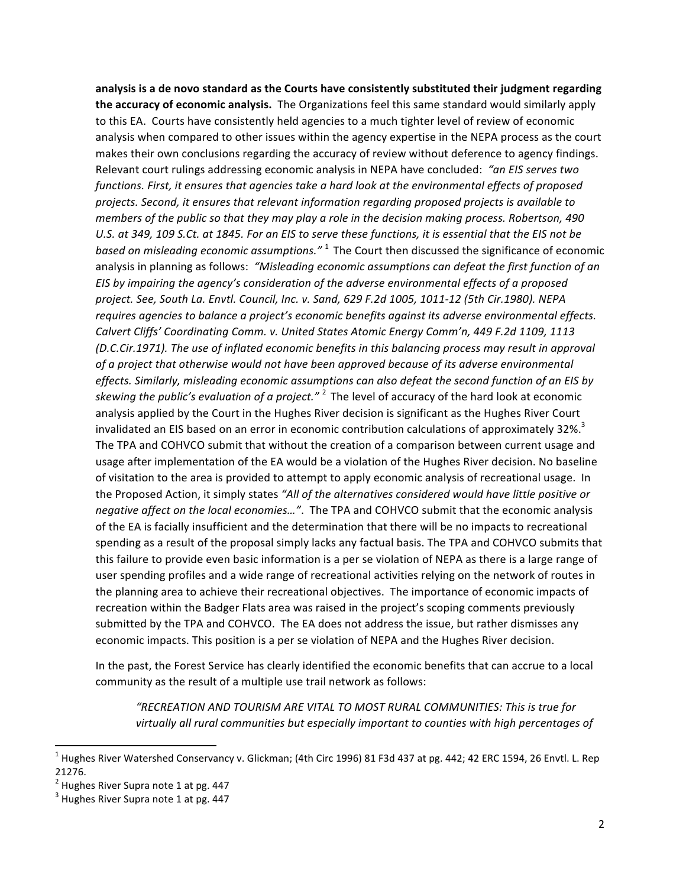analysis is a de novo standard as the Courts have consistently substituted their judgment regarding the accuracy of economic analysis. The Organizations feel this same standard would similarly apply to this EA. Courts have consistently held agencies to a much tighter level of review of economic analysis when compared to other issues within the agency expertise in the NEPA process as the court makes their own conclusions regarding the accuracy of review without deference to agency findings. Relevant court rulings addressing economic analysis in NEPA have concluded: "an EIS serves two functions. First, it ensures that agencies take a hard look at the environmental effects of proposed projects. Second, it ensures that relevant information regarding proposed projects is available to *members* of the public so that they may play a role in the decision making process. Robertson, 490 U.S. at 349, 109 S.Ct. at 1845. For an EIS to serve these functions, it is essential that the EIS not be *based* on misleading economic assumptions."<sup>1</sup> The Court then discussed the significance of economic analysis in planning as follows: "Misleading economic assumptions can defeat the first function of an EIS by impairing the agency's consideration of the adverse environmental effects of a proposed *project. See, South La. Envtl. Council, Inc. v. Sand, 629 F.2d 1005, 1011-12 (5th Cir.1980). NEPA*  requires agencies to balance a project's economic benefits against its adverse environmental effects. Calvert Cliffs' Coordinating Comm. v. United States Atomic Energy Comm'n, 449 F.2d 1109, 1113 *(D.C.Cir.1971).* The use of inflated economic benefits in this balancing process may result in approval of a project that otherwise would not have been approved because of its adverse environmental effects. Similarly, misleading economic assumptions can also defeat the second function of an EIS by skewing the public's evaluation of a project."<sup>2</sup> The level of accuracy of the hard look at economic analysis applied by the Court in the Hughes River decision is significant as the Hughes River Court invalidated an EIS based on an error in economic contribution calculations of approximately 32%.<sup>3</sup> The TPA and COHVCO submit that without the creation of a comparison between current usage and usage after implementation of the EA would be a violation of the Hughes River decision. No baseline of visitation to the area is provided to attempt to apply economic analysis of recreational usage. In the Proposed Action, it simply states "All of the alternatives considered would have little positive or *negative affect on the local economies..."*. The TPA and COHVCO submit that the economic analysis of the EA is facially insufficient and the determination that there will be no impacts to recreational spending as a result of the proposal simply lacks any factual basis. The TPA and COHVCO submits that this failure to provide even basic information is a per se violation of NEPA as there is a large range of user spending profiles and a wide range of recreational activities relying on the network of routes in the planning area to achieve their recreational objectives. The importance of economic impacts of recreation within the Badger Flats area was raised in the project's scoping comments previously submitted by the TPA and COHVCO. The EA does not address the issue, but rather dismisses any economic impacts. This position is a per se violation of NEPA and the Hughes River decision.

In the past, the Forest Service has clearly identified the economic benefits that can accrue to a local community as the result of a multiple use trail network as follows:

*"RECREATION AND TOURISM ARE VITAL TO MOST RURAL COMMUNITIES: This is true for*  virtually all rural communities but especially important to counties with high percentages of

 

 $1$  Hughes River Watershed Conservancy v. Glickman; (4th Circ 1996) 81 F3d 437 at pg. 442; 42 ERC 1594, 26 Envtl. L. Rep 21276.<br><sup>2</sup> Hughes River Supra note 1 at pg. 447

 $3$  Hughes River Supra note 1 at pg. 447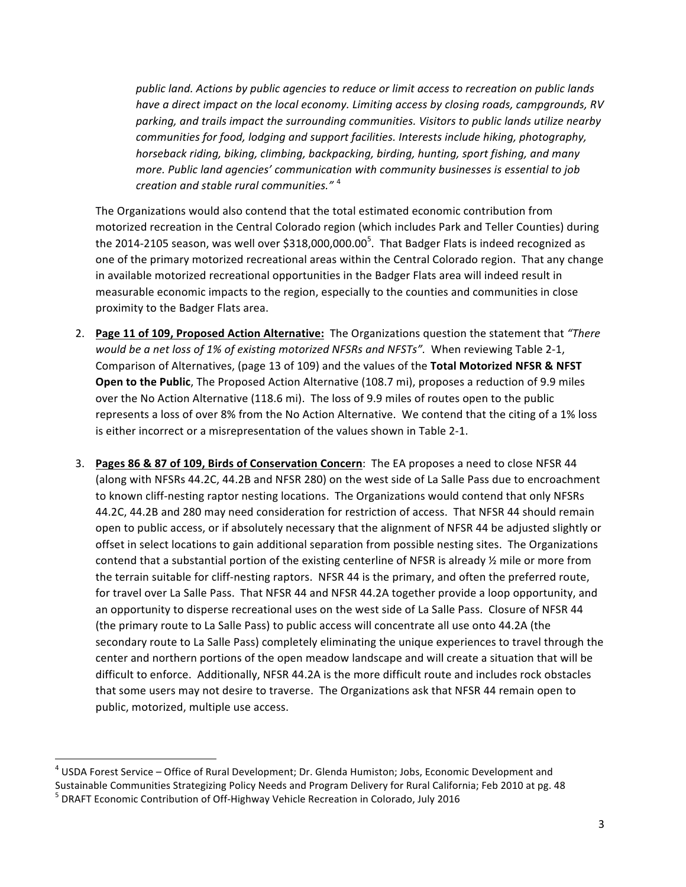*public land.* Actions by public agencies to reduce or limit access to recreation on public lands have a direct impact on the local economy. Limiting access by closing roads, campgrounds, RV parking, and trails impact the surrounding communities. Visitors to public lands utilize nearby *communities for food, lodging and support facilities. Interests include hiking, photography, horseback riding, biking, climbing, backpacking, birding, hunting, sport fishing, and many more. Public land agencies' communication with community businesses is essential to job creation and stable rural communities."* <sup>4</sup>

The Organizations would also contend that the total estimated economic contribution from motorized recreation in the Central Colorado region (which includes Park and Teller Counties) during the 2014-2105 season, was well over \$318,000,000.00<sup>5</sup>. That Badger Flats is indeed recognized as one of the primary motorized recreational areas within the Central Colorado region. That any change in available motorized recreational opportunities in the Badger Flats area will indeed result in measurable economic impacts to the region, especially to the counties and communities in close proximity to the Badger Flats area.

- 2. **Page 11 of 109, Proposed Action Alternative:** The Organizations question the statement that "There *would be a net loss of 1% of existing motorized NFSRs and NFSTs"*. When reviewing Table 2-1, Comparison of Alternatives, (page 13 of 109) and the values of the **Total Motorized NFSR & NFST Open to the Public**, The Proposed Action Alternative (108.7 mi), proposes a reduction of 9.9 miles over the No Action Alternative (118.6 mi). The loss of 9.9 miles of routes open to the public represents a loss of over 8% from the No Action Alternative. We contend that the citing of a 1% loss is either incorrect or a misrepresentation of the values shown in Table 2-1.
- 3. Pages 86 & 87 of 109, Birds of Conservation Concern: The EA proposes a need to close NFSR 44 (along with NFSRs 44.2C, 44.2B and NFSR 280) on the west side of La Salle Pass due to encroachment to known cliff-nesting raptor nesting locations. The Organizations would contend that only NFSRs 44.2C, 44.2B and 280 may need consideration for restriction of access. That NFSR 44 should remain open to public access, or if absolutely necessary that the alignment of NFSR 44 be adjusted slightly or offset in select locations to gain additional separation from possible nesting sites. The Organizations contend that a substantial portion of the existing centerline of NFSR is already 1/2 mile or more from the terrain suitable for cliff-nesting raptors. NFSR 44 is the primary, and often the preferred route, for travel over La Salle Pass. That NFSR 44 and NFSR 44.2A together provide a loop opportunity, and an opportunity to disperse recreational uses on the west side of La Salle Pass. Closure of NFSR 44 (the primary route to La Salle Pass) to public access will concentrate all use onto 44.2A (the secondary route to La Salle Pass) completely eliminating the unique experiences to travel through the center and northern portions of the open meadow landscape and will create a situation that will be difficult to enforce. Additionally, NFSR 44.2A is the more difficult route and includes rock obstacles that some users may not desire to traverse. The Organizations ask that NFSR 44 remain open to public, motorized, multiple use access.

 

 $4$  USDA Forest Service – Office of Rural Development; Dr. Glenda Humiston; Jobs, Economic Development and Sustainable Communities Strategizing Policy Needs and Program Delivery for Rural California; Feb 2010 at pg. 48  $<sup>5</sup>$  DRAFT Economic Contribution of Off-Highway Vehicle Recreation in Colorado, July 2016</sup>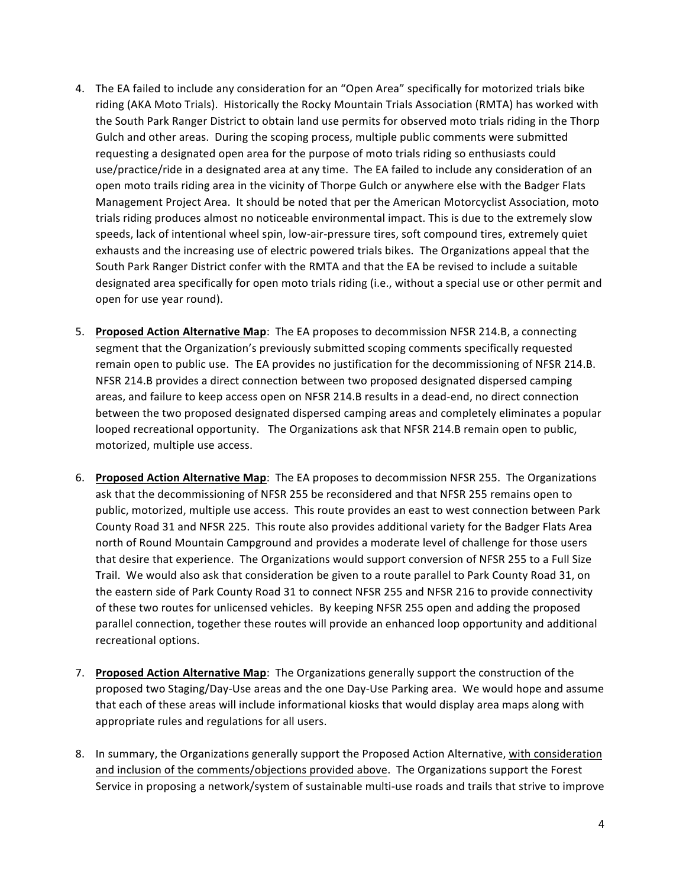- 4. The EA failed to include any consideration for an "Open Area" specifically for motorized trials bike riding (AKA Moto Trials). Historically the Rocky Mountain Trials Association (RMTA) has worked with the South Park Ranger District to obtain land use permits for observed moto trials riding in the Thorp Gulch and other areas. During the scoping process, multiple public comments were submitted requesting a designated open area for the purpose of moto trials riding so enthusiasts could use/practice/ride in a designated area at any time. The EA failed to include any consideration of an open moto trails riding area in the vicinity of Thorpe Gulch or anywhere else with the Badger Flats Management Project Area. It should be noted that per the American Motorcyclist Association, moto trials riding produces almost no noticeable environmental impact. This is due to the extremely slow speeds, lack of intentional wheel spin, low-air-pressure tires, soft compound tires, extremely quiet exhausts and the increasing use of electric powered trials bikes. The Organizations appeal that the South Park Ranger District confer with the RMTA and that the EA be revised to include a suitable designated area specifically for open moto trials riding (i.e., without a special use or other permit and open for use year round).
- 5. Proposed Action Alternative Map: The EA proposes to decommission NFSR 214.B, a connecting segment that the Organization's previously submitted scoping comments specifically requested remain open to public use. The EA provides no justification for the decommissioning of NFSR 214.B. NFSR 214.B provides a direct connection between two proposed designated dispersed camping areas, and failure to keep access open on NFSR 214.B results in a dead-end, no direct connection between the two proposed designated dispersed camping areas and completely eliminates a popular looped recreational opportunity. The Organizations ask that NFSR 214.B remain open to public, motorized, multiple use access.
- 6. Proposed Action Alternative Map: The EA proposes to decommission NFSR 255. The Organizations ask that the decommissioning of NFSR 255 be reconsidered and that NFSR 255 remains open to public, motorized, multiple use access. This route provides an east to west connection between Park County Road 31 and NFSR 225. This route also provides additional variety for the Badger Flats Area north of Round Mountain Campground and provides a moderate level of challenge for those users that desire that experience. The Organizations would support conversion of NFSR 255 to a Full Size Trail. We would also ask that consideration be given to a route parallel to Park County Road 31, on the eastern side of Park County Road 31 to connect NFSR 255 and NFSR 216 to provide connectivity of these two routes for unlicensed vehicles. By keeping NFSR 255 open and adding the proposed parallel connection, together these routes will provide an enhanced loop opportunity and additional recreational options.
- 7. **Proposed Action Alternative Map**: The Organizations generally support the construction of the proposed two Staging/Day-Use areas and the one Day-Use Parking area. We would hope and assume that each of these areas will include informational kiosks that would display area maps along with appropriate rules and regulations for all users.
- 8. In summary, the Organizations generally support the Proposed Action Alternative, with consideration and inclusion of the comments/objections provided above. The Organizations support the Forest Service in proposing a network/system of sustainable multi-use roads and trails that strive to improve